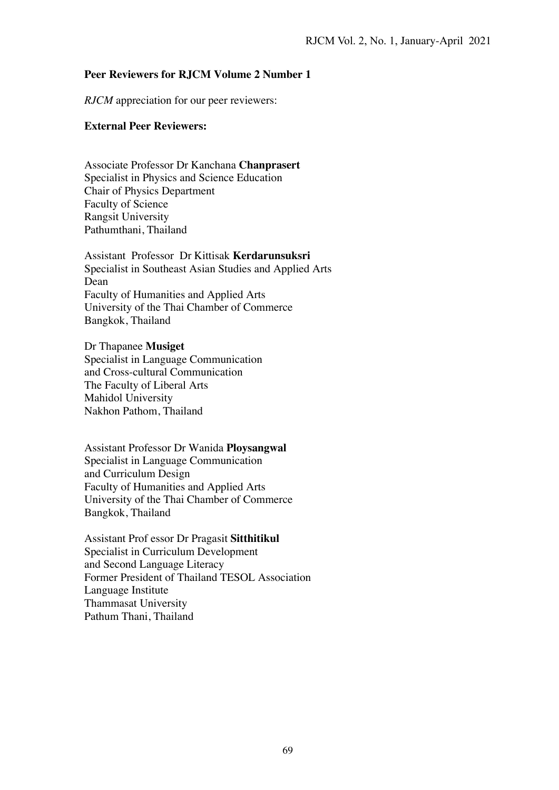## **Peer Reviewers for RJCM Volume 2 Number 1**

*RJCM* appreciation for our peer reviewers:

## **External Peer Reviewers:**

Associate Professor Dr Kanchana **Chanprasert** Specialist in Physics and Science Education Chair of Physics Department Faculty of Science Rangsit University Pathumthani, Thailand

Assistant Professor Dr Kittisak **Kerdarunsuksri**  Specialist in Southeast Asian Studies and Applied Arts Dean Faculty of Humanities and Applied Arts University of the Thai Chamber of Commerce Bangkok, Thailand

Dr Thapanee **Musiget**  Specialist in Language Communication and Cross-cultural Communication The Faculty of Liberal Arts Mahidol University Nakhon Pathom, Thailand

Assistant Professor Dr Wanida **Ploysangwal** Specialist in Language Communication and Curriculum Design Faculty of Humanities and Applied Arts University of the Thai Chamber of Commerce Bangkok, Thailand

Assistant Prof essor Dr Pragasit **Sitthitikul**  Specialist in Curriculum Development and Second Language Literacy Former President of Thailand TESOL Association Language Institute Thammasat University Pathum Thani, Thailand